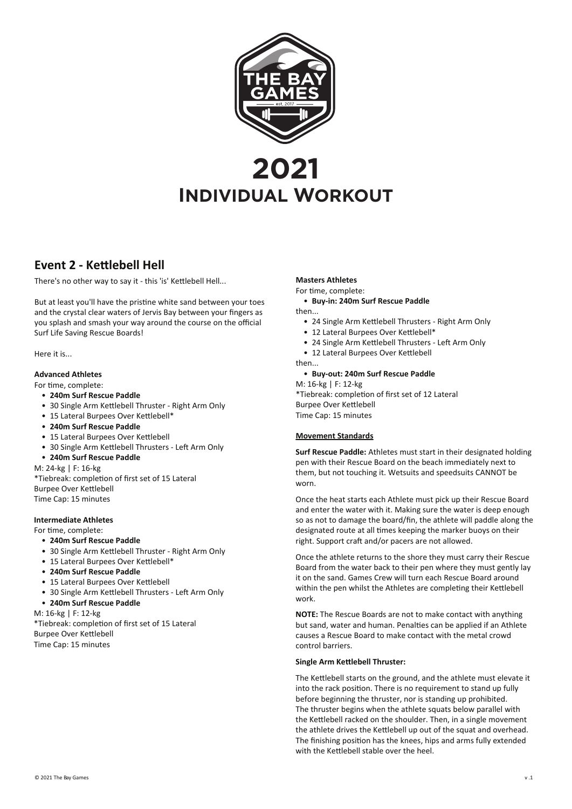

# **Event 2 - Kettlebell Hell**

There's no other way to say it - this 'is' Kettlebell Hell...

But at least you'll have the pristine white sand between your toes and the crystal clear waters of Jervis Bay between your fingers as you splash and smash your way around the course on the official Surf Life Saving Rescue Boards!

Here it is...

### **Advanced Athletes**

#### For time, complete:

- **240m Surf Rescue Paddle**
- 30 Single Arm Kettlebell Thruster Right Arm Only
- 15 Lateral Burpees Over Kettlebell\*
- **240m Surf Rescue Paddle**
- 15 Lateral Burpees Over Kettlebell
- 30 Single Arm Kettlebell Thrusters Left Arm Only

### • **240m Surf Rescue Paddle**

M: 24-kg | F: 16-kg

\*Tiebreak: completion of first set of 15 Lateral Burpee Over Kettlebell Time Cap: 15 minutes

### **Intermediate Athletes**

For time, complete:

- **240m Surf Rescue Paddle**
- 30 Single Arm Kettlebell Thruster Right Arm Only
- 15 Lateral Burpees Over Kettlebell\*
- **240m Surf Rescue Paddle**
- 15 Lateral Burpees Over Kettlebell
- 30 Single Arm Kettlebell Thrusters Left Arm Only
- **240m Surf Rescue Paddle**

M: 16-kg | F: 12-kg \*Tiebreak: completion of first set of 15 Lateral

Burpee Over Kettlebell Time Cap: 15 minutes

## **Masters Athletes**

For time, complete:

• **Buy-in: 240m Surf Rescue Paddle**

then...

- 24 Single Arm Kettlebell Thrusters Right Arm Only
- 12 Lateral Burpees Over Kettlebell\*
- 24 Single Arm Kettlebell Thrusters Left Arm Only
- 12 Lateral Burpees Over Kettlebell
- then...

# • **Buy-out: 240m Surf Rescue Paddle**

M: 16-kg | F: 12-kg \*Tiebreak: completion of first set of 12 Lateral Burpee Over Kettlebell Time Cap: 15 minutes

### **Movement Standards**

**Surf Rescue Paddle:** Athletes must start in their designated holding pen with their Rescue Board on the beach immediately next to them, but not touching it. Wetsuits and speedsuits CANNOT be worn.

Once the heat starts each Athlete must pick up their Rescue Board and enter the water with it. Making sure the water is deep enough so as not to damage the board/fin, the athlete will paddle along the designated route at all times keeping the marker buoys on their right. Support craft and/or pacers are not allowed.

Once the athlete returns to the shore they must carry their Rescue Board from the water back to their pen where they must gently lay it on the sand. Games Crew will turn each Rescue Board around within the pen whilst the Athletes are completing their Kettlebell work.

**NOTE:** The Rescue Boards are not to make contact with anything but sand, water and human. Penalties can be applied if an Athlete causes a Rescue Board to make contact with the metal crowd control barriers.

### **Single Arm Kettlebell Thruster:**

The Kettlebell starts on the ground, and the athlete must elevate it into the rack position. There is no requirement to stand up fully before beginning the thruster, nor is standing up prohibited. The thruster begins when the athlete squats below parallel with the Kettlebell racked on the shoulder. Then, in a single movement the athlete drives the Kettlebell up out of the squat and overhead. The finishing position has the knees, hips and arms fully extended with the Kettlebell stable over the heel.